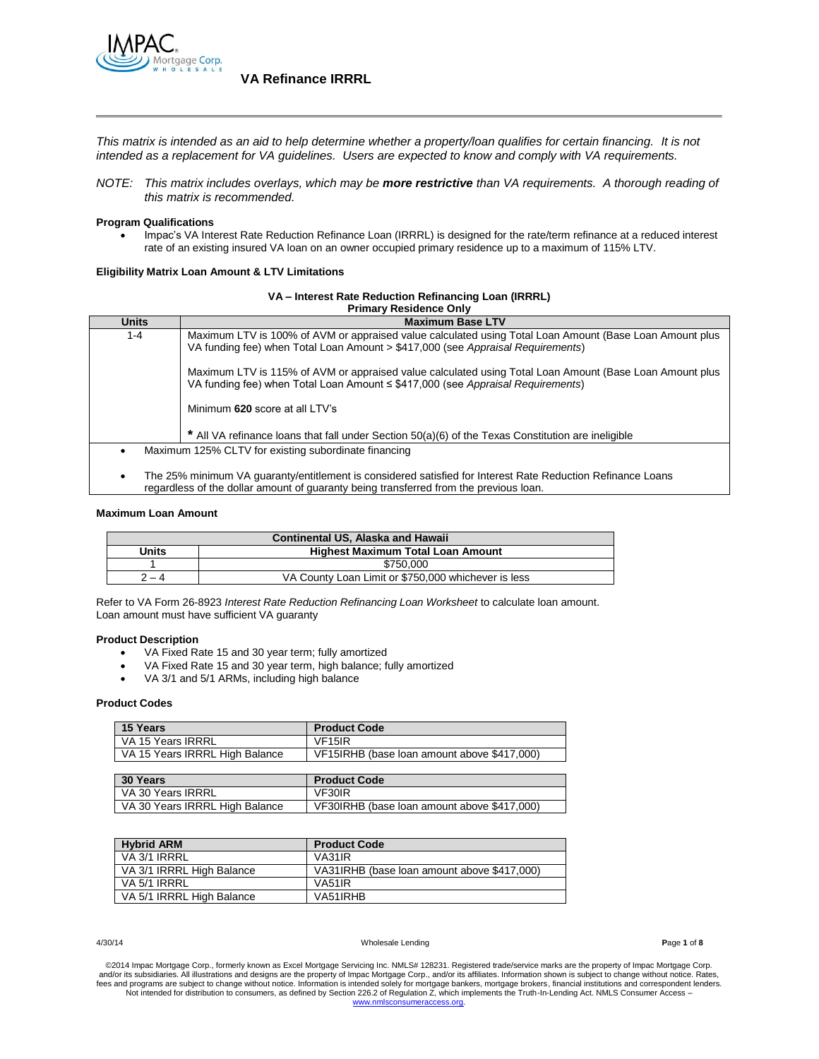

*This matrix is intended as an aid to help determine whether a property/loan qualifies for certain financing. It is not intended as a replacement for VA guidelines. Users are expected to know and comply with VA requirements.*

*NOTE: This matrix includes overlays, which may be more restrictive than VA requirements. A thorough reading of this matrix is recommended.*

### **Program Qualifications**

 Impac's VA Interest Rate Reduction Refinance Loan (IRRRL) is designed for the rate/term refinance at a reduced interest rate of an existing insured VA loan on an owner occupied primary residence up to a maximum of 115% LTV.

### **Eligibility Matrix Loan Amount & LTV Limitations**

#### **VA – Interest Rate Reduction Refinancing Loan (IRRRL)**

| <b>Primary Residence Only</b>                                                                                                                                                                        |                                                                                                                                                                                            |  |  |
|------------------------------------------------------------------------------------------------------------------------------------------------------------------------------------------------------|--------------------------------------------------------------------------------------------------------------------------------------------------------------------------------------------|--|--|
| <b>Units</b>                                                                                                                                                                                         | <b>Maximum Base LTV</b>                                                                                                                                                                    |  |  |
| 1-4                                                                                                                                                                                                  | Maximum LTV is 100% of AVM or appraised value calculated using Total Loan Amount (Base Loan Amount plus<br>VA funding fee) when Total Loan Amount > \$417,000 (see Appraisal Requirements) |  |  |
|                                                                                                                                                                                                      | Maximum LTV is 115% of AVM or appraised value calculated using Total Loan Amount (Base Loan Amount plus<br>VA funding fee) when Total Loan Amount ≤ \$417,000 (see Appraisal Requirements) |  |  |
|                                                                                                                                                                                                      | Minimum 620 score at all LTV's                                                                                                                                                             |  |  |
|                                                                                                                                                                                                      | * All VA refinance loans that fall under Section 50(a)(6) of the Texas Constitution are ineligible                                                                                         |  |  |
|                                                                                                                                                                                                      | Maximum 125% CLTV for existing subordinate financing                                                                                                                                       |  |  |
| The 25% minimum VA quaranty/entitlement is considered satisfied for Interest Rate Reduction Refinance Loans<br>regardless of the dollar amount of quaranty being transferred from the previous loan. |                                                                                                                                                                                            |  |  |

#### **Maximum Loan Amount**

| Continental US, Alaska and Hawaii |                                                     |  |  |
|-----------------------------------|-----------------------------------------------------|--|--|
| Units                             | <b>Highest Maximum Total Loan Amount</b>            |  |  |
|                                   | \$750.000                                           |  |  |
| $2 - 4$                           | VA County Loan Limit or \$750,000 whichever is less |  |  |

Refer to VA Form 26-8923 *Interest Rate Reduction Refinancing Loan Worksheet* to calculate loan amount. Loan amount must have sufficient VA guaranty

### **Product Description**

- VA Fixed Rate 15 and 30 year term; fully amortized
- VA Fixed Rate 15 and 30 year term, high balance; fully amortized
- VA 3/1 and 5/1 ARMs, including high balance

#### **Product Codes**

| 15 Years                       | <b>Product Code</b>                         |
|--------------------------------|---------------------------------------------|
| VA 15 Years IRRRL              | VF <sub>15</sub> IR                         |
| VA 15 Years IRRRL High Balance | VF15IRHB (base loan amount above \$417,000) |

| 30 Years                       | <b>Product Code</b>                         |
|--------------------------------|---------------------------------------------|
| VA 30 Years IRRRL              | VF30IR                                      |
| VA 30 Years IRRRL High Balance | VF30IRHB (base loan amount above \$417,000) |

| <b>Hybrid ARM</b>         | <b>Product Code</b>                         |
|---------------------------|---------------------------------------------|
| VA 3/1 IRRRL              | VA31IR                                      |
| VA 3/1 IRRRL High Balance | VA31IRHB (base loan amount above \$417,000) |
| VA 5/1 IRRRL              | <b>VA51IR</b>                               |
| VA 5/1 IRRRL High Balance | VA51IRHB                                    |

#### 4/30/14 Wholesale Lending **P**age **1** of **8**

©2014 Impac Mortgage Corp., formerly known as Excel Mortgage Servicing Inc. NMLS# 128231. Registered trade/service marks are the property of Impac Mortgage Corp.<br>and/or its subsidiaries. All illustrations and designs are t fees and programs are subject to change without notice. Information is intended solely for mortgage bankers, mortgage brokers, financial institutions and correspondent lenders.<br>Not intended for distribution to consumers, a [www.nmlsconsumeraccess.org.](http://www.nmlsconsumeraccess.org/)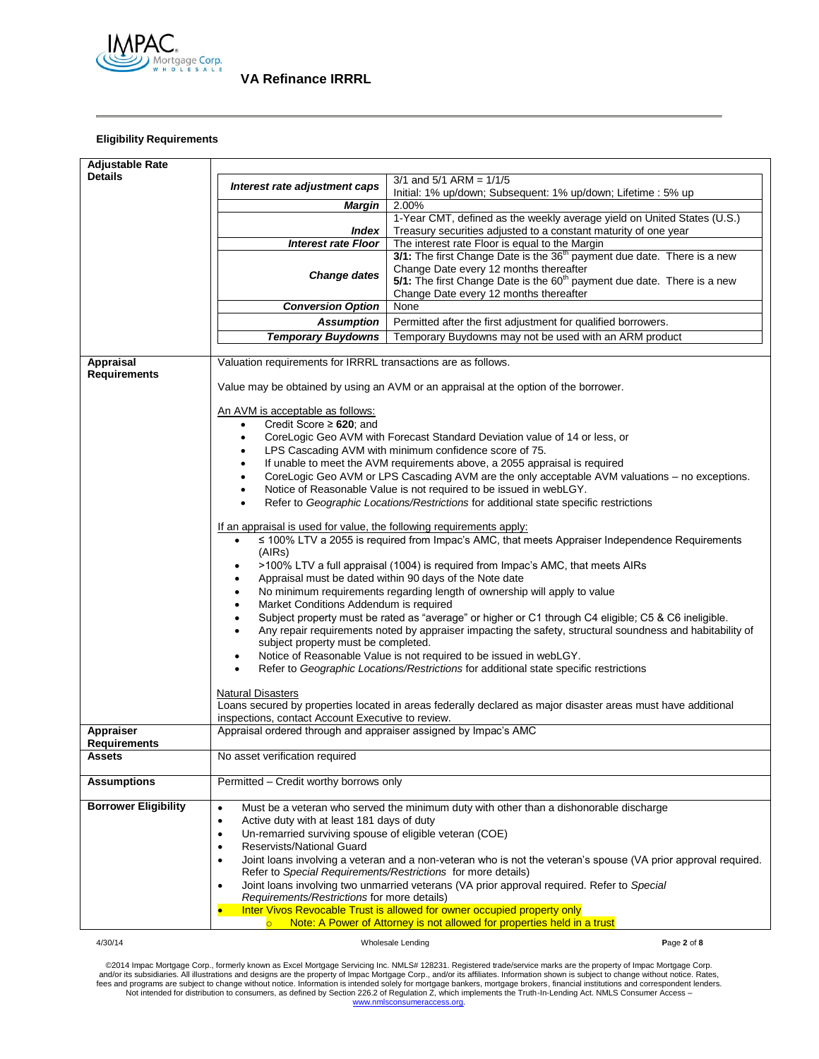

## **Eligibility Requirements**

| <b>Adjustable Rate</b>      |                                                                                                                                            |                                                                                                                |  |  |
|-----------------------------|--------------------------------------------------------------------------------------------------------------------------------------------|----------------------------------------------------------------------------------------------------------------|--|--|
| <b>Details</b>              |                                                                                                                                            | $3/1$ and $5/1$ ARM = $1/1/5$                                                                                  |  |  |
|                             | Interest rate adjustment caps                                                                                                              | Initial: 1% up/down; Subsequent: 1% up/down; Lifetime : 5% up                                                  |  |  |
|                             | <b>Margin</b>                                                                                                                              | 2.00%                                                                                                          |  |  |
|                             |                                                                                                                                            | 1-Year CMT, defined as the weekly average yield on United States (U.S.)                                        |  |  |
|                             | <i><b>Index</b></i>                                                                                                                        | Treasury securities adjusted to a constant maturity of one year                                                |  |  |
|                             | <b>Interest rate Floor</b>                                                                                                                 | The interest rate Floor is equal to the Margin                                                                 |  |  |
|                             |                                                                                                                                            | 3/1: The first Change Date is the 36 <sup>th</sup> payment due date. There is a new                            |  |  |
|                             |                                                                                                                                            | Change Date every 12 months thereafter                                                                         |  |  |
|                             | <b>Change dates</b>                                                                                                                        | 5/1: The first Change Date is the 60 <sup>th</sup> payment due date. There is a new                            |  |  |
|                             |                                                                                                                                            | Change Date every 12 months thereafter                                                                         |  |  |
|                             | <b>Conversion Option</b>                                                                                                                   | None                                                                                                           |  |  |
|                             | <b>Assumption</b>                                                                                                                          | Permitted after the first adjustment for qualified borrowers.                                                  |  |  |
|                             | <b>Temporary Buydowns</b>                                                                                                                  | Temporary Buydowns may not be used with an ARM product                                                         |  |  |
|                             |                                                                                                                                            |                                                                                                                |  |  |
| Appraisal                   | Valuation requirements for IRRRL transactions are as follows.                                                                              |                                                                                                                |  |  |
| <b>Requirements</b>         |                                                                                                                                            |                                                                                                                |  |  |
|                             |                                                                                                                                            | Value may be obtained by using an AVM or an appraisal at the option of the borrower.                           |  |  |
|                             |                                                                                                                                            |                                                                                                                |  |  |
|                             | An AVM is acceptable as follows:                                                                                                           |                                                                                                                |  |  |
|                             | Credit Score $\geq 620$ ; and<br>٠                                                                                                         |                                                                                                                |  |  |
|                             | ٠                                                                                                                                          | CoreLogic Geo AVM with Forecast Standard Deviation value of 14 or less, or                                     |  |  |
|                             |                                                                                                                                            | LPS Cascading AVM with minimum confidence score of 75.                                                         |  |  |
|                             | $\bullet$                                                                                                                                  | If unable to meet the AVM requirements above, a 2055 appraisal is required                                     |  |  |
|                             |                                                                                                                                            |                                                                                                                |  |  |
|                             | CoreLogic Geo AVM or LPS Cascading AVM are the only acceptable AVM valuations - no exceptions.                                             |                                                                                                                |  |  |
|                             | Notice of Reasonable Value is not required to be issued in webLGY.                                                                         |                                                                                                                |  |  |
|                             | Refer to Geographic Locations/Restrictions for additional state specific restrictions                                                      |                                                                                                                |  |  |
|                             |                                                                                                                                            |                                                                                                                |  |  |
|                             | If an appraisal is used for value, the following requirements apply:                                                                       |                                                                                                                |  |  |
|                             | ≤ 100% LTV a 2055 is required from Impac's AMC, that meets Appraiser Independence Requirements<br>$\bullet$                                |                                                                                                                |  |  |
|                             | (AIRs)                                                                                                                                     |                                                                                                                |  |  |
|                             | >100% LTV a full appraisal (1004) is required from Impac's AMC, that meets AIRs<br>Appraisal must be dated within 90 days of the Note date |                                                                                                                |  |  |
|                             | No minimum requirements regarding length of ownership will apply to value                                                                  |                                                                                                                |  |  |
|                             | ٠<br>Market Conditions Addendum is required                                                                                                |                                                                                                                |  |  |
|                             | ٠                                                                                                                                          |                                                                                                                |  |  |
|                             | $\bullet$                                                                                                                                  | Subject property must be rated as "average" or higher or C1 through C4 eligible; C5 & C6 ineligible.           |  |  |
|                             |                                                                                                                                            | Any repair requirements noted by appraiser impacting the safety, structural soundness and habitability of      |  |  |
|                             | subject property must be completed.                                                                                                        |                                                                                                                |  |  |
|                             |                                                                                                                                            | Notice of Reasonable Value is not required to be issued in webLGY.                                             |  |  |
|                             |                                                                                                                                            | Refer to Geographic Locations/Restrictions for additional state specific restrictions                          |  |  |
|                             |                                                                                                                                            |                                                                                                                |  |  |
|                             | <b>Natural Disasters</b>                                                                                                                   |                                                                                                                |  |  |
|                             |                                                                                                                                            | Loans secured by properties located in areas federally declared as major disaster areas must have additional   |  |  |
| Appraiser                   | inspections, contact Account Executive to review.<br>Appraisal ordered through and appraiser assigned by Impac's AMC                       |                                                                                                                |  |  |
| Requirements                |                                                                                                                                            |                                                                                                                |  |  |
| Assets                      | No asset verification required                                                                                                             |                                                                                                                |  |  |
|                             |                                                                                                                                            |                                                                                                                |  |  |
| <b>Assumptions</b>          | Permitted - Credit worthy borrows only                                                                                                     |                                                                                                                |  |  |
|                             |                                                                                                                                            |                                                                                                                |  |  |
| <b>Borrower Eligibility</b> | $\bullet$                                                                                                                                  | Must be a veteran who served the minimum duty with other than a dishonorable discharge                         |  |  |
|                             | Active duty with at least 181 days of duty<br>٠                                                                                            |                                                                                                                |  |  |
|                             | Un-remarried surviving spouse of eligible veteran (COE)<br>$\bullet$                                                                       |                                                                                                                |  |  |
|                             | Reservists/National Guard<br>$\bullet$                                                                                                     |                                                                                                                |  |  |
|                             | $\bullet$                                                                                                                                  | Joint loans involving a veteran and a non-veteran who is not the veteran's spouse (VA prior approval required. |  |  |
|                             | Refer to Special Requirements/Restrictions for more details)                                                                               |                                                                                                                |  |  |
|                             | $\bullet$                                                                                                                                  | Joint loans involving two unmarried veterans (VA prior approval required. Refer to Special                     |  |  |
|                             | Requirements/Restrictions for more details)                                                                                                |                                                                                                                |  |  |
|                             |                                                                                                                                            | Inter Vivos Revocable Trust is allowed for owner occupied property only                                        |  |  |
|                             |                                                                                                                                            | Note: A Power of Attorney is not allowed for properties held in a trust                                        |  |  |
| 4/30/14                     |                                                                                                                                            | Page 2 of 8<br>Wholesale Lending                                                                               |  |  |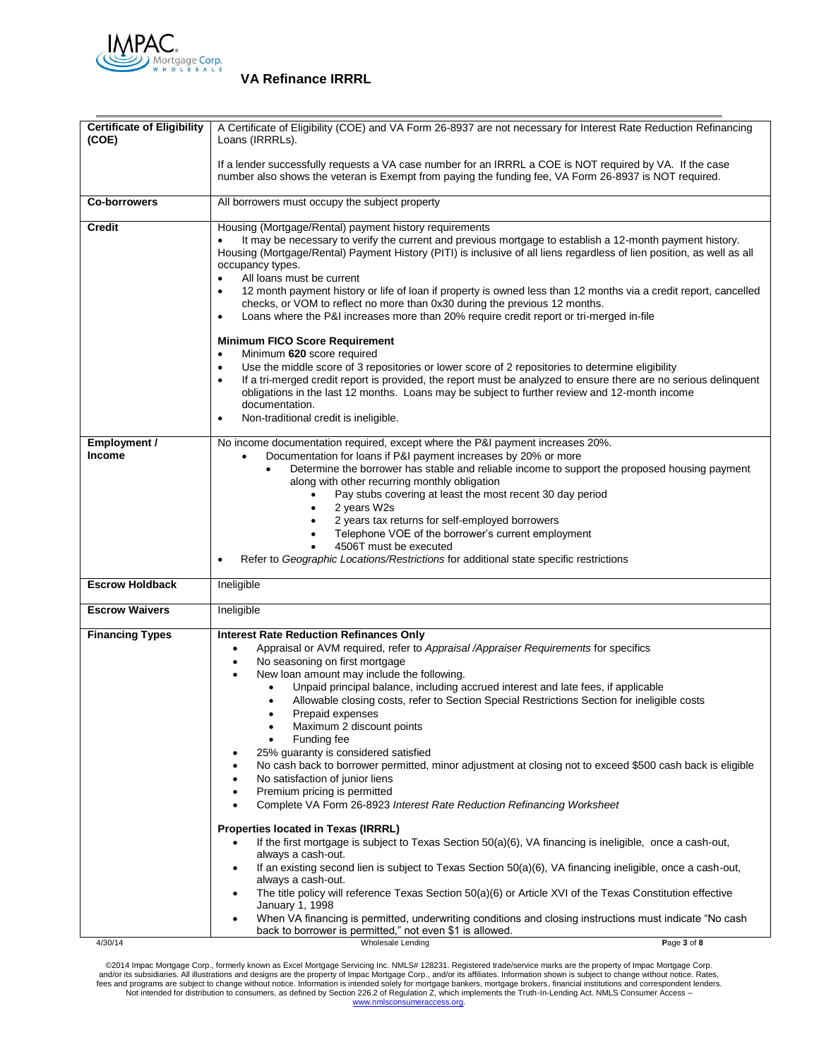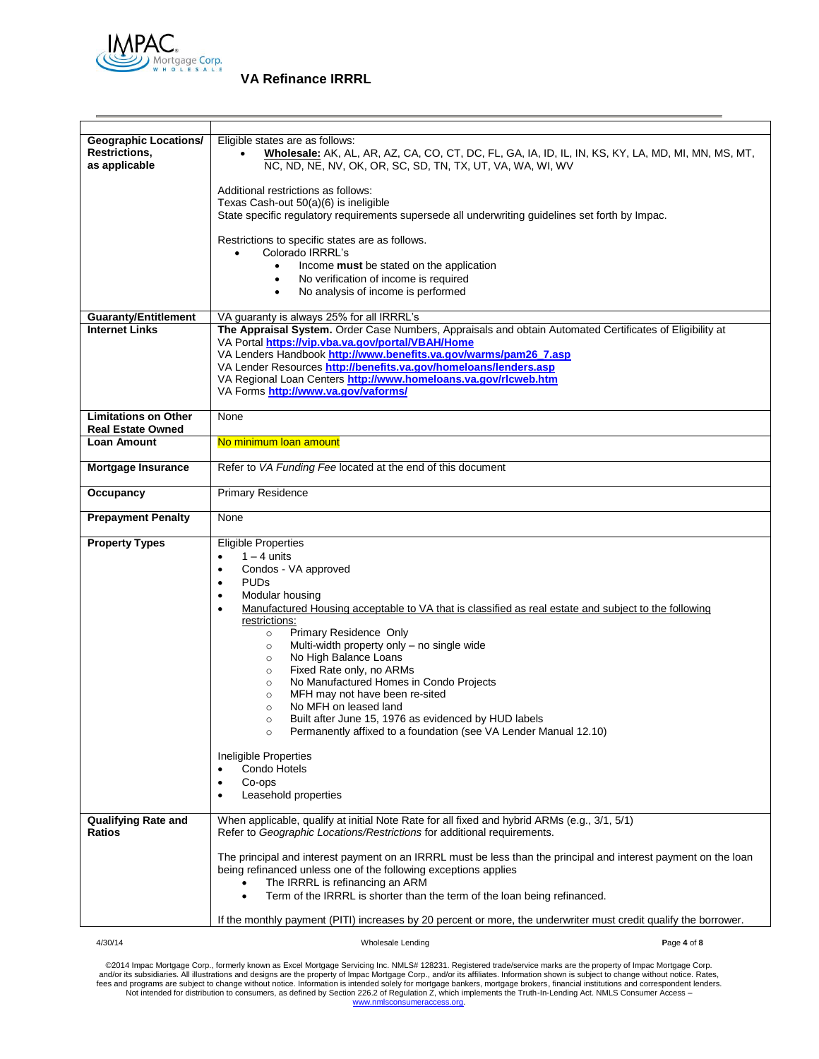

| <b>Geographic Locations/</b><br><b>Restrictions,</b><br>as applicable | Eligible states are as follows:<br>Wholesale: AK, AL, AR, AZ, CA, CO, CT, DC, FL, GA, IA, ID, IL, IN, KS, KY, LA, MD, MI, MN, MS, MT,<br>NC, ND, NE, NV, OK, OR, SC, SD, TN, TX, UT, VA, WA, WI, WV                                                                                                                                                                                                                                                                                                                                                                                                                                                                                                                                                                                                                             |
|-----------------------------------------------------------------------|---------------------------------------------------------------------------------------------------------------------------------------------------------------------------------------------------------------------------------------------------------------------------------------------------------------------------------------------------------------------------------------------------------------------------------------------------------------------------------------------------------------------------------------------------------------------------------------------------------------------------------------------------------------------------------------------------------------------------------------------------------------------------------------------------------------------------------|
|                                                                       | Additional restrictions as follows:<br>Texas Cash-out 50(a)(6) is ineligible<br>State specific regulatory requirements supersede all underwriting guidelines set forth by Impac.                                                                                                                                                                                                                                                                                                                                                                                                                                                                                                                                                                                                                                                |
|                                                                       | Restrictions to specific states are as follows.<br>Colorado IRRRL's<br>Income must be stated on the application<br>$\bullet$<br>No verification of income is required<br>$\bullet$                                                                                                                                                                                                                                                                                                                                                                                                                                                                                                                                                                                                                                              |
|                                                                       | No analysis of income is performed<br>٠                                                                                                                                                                                                                                                                                                                                                                                                                                                                                                                                                                                                                                                                                                                                                                                         |
| <b>Guaranty/Entitlement</b>                                           | VA guaranty is always 25% for all IRRRL's                                                                                                                                                                                                                                                                                                                                                                                                                                                                                                                                                                                                                                                                                                                                                                                       |
| <b>Internet Links</b>                                                 | The Appraisal System. Order Case Numbers, Appraisals and obtain Automated Certificates of Eligibility at                                                                                                                                                                                                                                                                                                                                                                                                                                                                                                                                                                                                                                                                                                                        |
|                                                                       | VA Portal https://vip.vba.va.gov/portal/VBAH/Home                                                                                                                                                                                                                                                                                                                                                                                                                                                                                                                                                                                                                                                                                                                                                                               |
|                                                                       | VA Lenders Handbook http://www.benefits.va.gov/warms/pam26_7.asp                                                                                                                                                                                                                                                                                                                                                                                                                                                                                                                                                                                                                                                                                                                                                                |
|                                                                       | VA Lender Resources http://benefits.va.gov/homeloans/lenders.asp<br>VA Regional Loan Centers http://www.homeloans.va.gov/rlcweb.htm                                                                                                                                                                                                                                                                                                                                                                                                                                                                                                                                                                                                                                                                                             |
|                                                                       | VA Forms http://www.va.gov/vaforms/                                                                                                                                                                                                                                                                                                                                                                                                                                                                                                                                                                                                                                                                                                                                                                                             |
|                                                                       |                                                                                                                                                                                                                                                                                                                                                                                                                                                                                                                                                                                                                                                                                                                                                                                                                                 |
| <b>Limitations on Other</b><br><b>Real Estate Owned</b>               | None                                                                                                                                                                                                                                                                                                                                                                                                                                                                                                                                                                                                                                                                                                                                                                                                                            |
| <b>Loan Amount</b>                                                    | No minimum loan amount                                                                                                                                                                                                                                                                                                                                                                                                                                                                                                                                                                                                                                                                                                                                                                                                          |
| <b>Mortgage Insurance</b>                                             | Refer to VA Funding Fee located at the end of this document                                                                                                                                                                                                                                                                                                                                                                                                                                                                                                                                                                                                                                                                                                                                                                     |
| Occupancy                                                             | <b>Primary Residence</b>                                                                                                                                                                                                                                                                                                                                                                                                                                                                                                                                                                                                                                                                                                                                                                                                        |
| <b>Prepayment Penalty</b>                                             | None                                                                                                                                                                                                                                                                                                                                                                                                                                                                                                                                                                                                                                                                                                                                                                                                                            |
| <b>Property Types</b>                                                 | <b>Eligible Properties</b><br>$1 - 4$ units<br>Condos - VA approved<br>$\bullet$<br><b>PUDs</b><br>$\bullet$<br>Modular housing<br>Manufactured Housing acceptable to VA that is classified as real estate and subject to the following<br>$\bullet$<br>restrictions:<br>Primary Residence Only<br>$\circ$<br>Multi-width property only - no single wide<br>$\circ$<br>No High Balance Loans<br>$\circ$<br>Fixed Rate only, no ARMs<br>$\circ$<br>No Manufactured Homes in Condo Projects<br>$\circ$<br>MFH may not have been re-sited<br>$\circ$<br>No MFH on leased land<br>$\circ$<br>Built after June 15, 1976 as evidenced by HUD labels<br>$\circ$<br>Permanently affixed to a foundation (see VA Lender Manual 12.10)<br>$\circ$<br>Ineligible Properties<br>Condo Hotels<br>$\bullet$<br>Co-ops<br>Leasehold properties |
| <b>Qualifying Rate and</b>                                            | When applicable, qualify at initial Note Rate for all fixed and hybrid ARMs (e.g., 3/1, 5/1)                                                                                                                                                                                                                                                                                                                                                                                                                                                                                                                                                                                                                                                                                                                                    |
| Ratios                                                                | Refer to Geographic Locations/Restrictions for additional requirements.                                                                                                                                                                                                                                                                                                                                                                                                                                                                                                                                                                                                                                                                                                                                                         |
|                                                                       | The principal and interest payment on an IRRRL must be less than the principal and interest payment on the loan<br>being refinanced unless one of the following exceptions applies<br>The IRRRL is refinancing an ARM<br>Term of the IRRRL is shorter than the term of the loan being refinanced.<br>$\bullet$                                                                                                                                                                                                                                                                                                                                                                                                                                                                                                                  |
|                                                                       |                                                                                                                                                                                                                                                                                                                                                                                                                                                                                                                                                                                                                                                                                                                                                                                                                                 |
|                                                                       | If the monthly payment (PITI) increases by 20 percent or more, the underwriter must credit qualify the borrower.                                                                                                                                                                                                                                                                                                                                                                                                                                                                                                                                                                                                                                                                                                                |
| 4/30/14                                                               | Wholesale Lending<br>Page 4 of 8                                                                                                                                                                                                                                                                                                                                                                                                                                                                                                                                                                                                                                                                                                                                                                                                |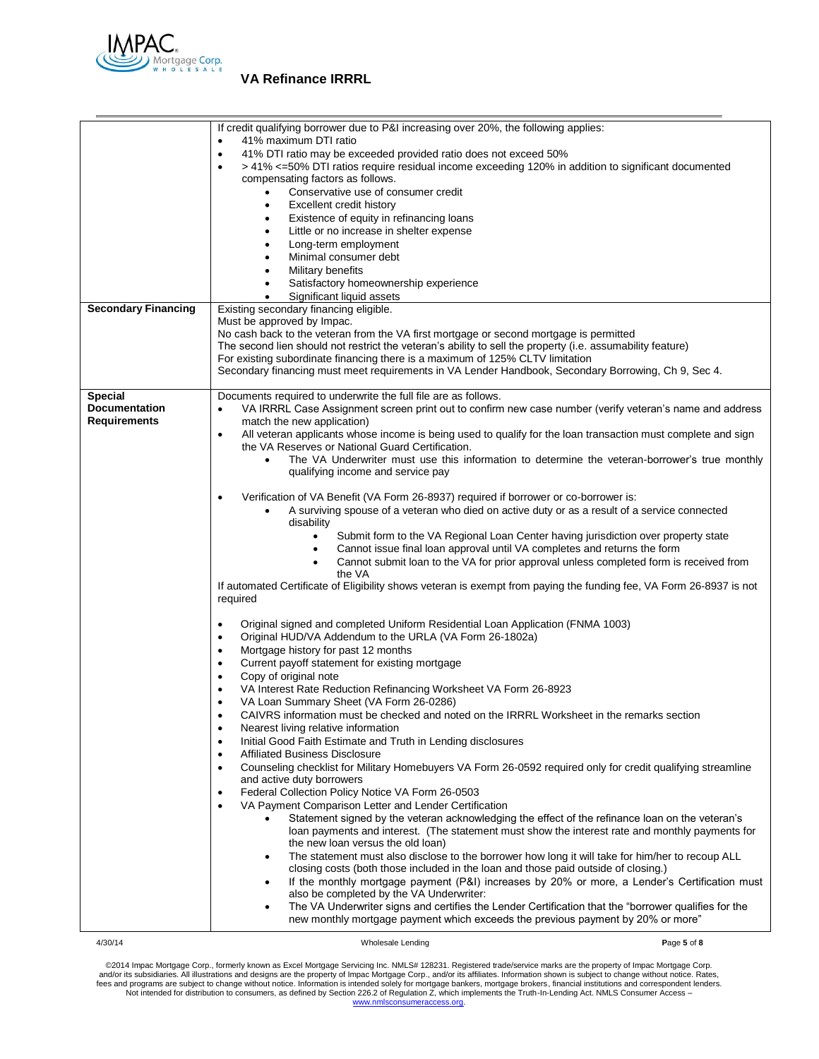

|                            | If credit qualifying borrower due to P&I increasing over 20%, the following applies:                                          |
|----------------------------|-------------------------------------------------------------------------------------------------------------------------------|
|                            | 41% maximum DTI ratio                                                                                                         |
|                            | 41% DTI ratio may be exceeded provided ratio does not exceed 50%<br>$\bullet$                                                 |
|                            | > 41% <=50% DTI ratios require residual income exceeding 120% in addition to significant documented                           |
|                            | compensating factors as follows.                                                                                              |
|                            | Conservative use of consumer credit<br>$\bullet$                                                                              |
|                            | Excellent credit history<br>٠                                                                                                 |
|                            | Existence of equity in refinancing loans<br>٠                                                                                 |
|                            | Little or no increase in shelter expense<br>Long-term employment<br>$\bullet$                                                 |
|                            | Minimal consumer debt<br>٠                                                                                                    |
|                            | Military benefits                                                                                                             |
|                            | Satisfactory homeownership experience                                                                                         |
|                            | Significant liquid assets                                                                                                     |
| <b>Secondary Financing</b> | Existing secondary financing eligible.                                                                                        |
|                            | Must be approved by Impac.                                                                                                    |
|                            | No cash back to the veteran from the VA first mortgage or second mortgage is permitted                                        |
|                            | The second lien should not restrict the veteran's ability to sell the property (i.e. assumability feature)                    |
|                            | For existing subordinate financing there is a maximum of 125% CLTV limitation                                                 |
|                            | Secondary financing must meet requirements in VA Lender Handbook, Secondary Borrowing, Ch 9, Sec 4.                           |
|                            |                                                                                                                               |
| <b>Special</b>             | Documents required to underwrite the full file are as follows.                                                                |
| <b>Documentation</b>       | VA IRRRL Case Assignment screen print out to confirm new case number (verify veteran's name and address                       |
| <b>Requirements</b>        | match the new application)                                                                                                    |
|                            | All veteran applicants whose income is being used to qualify for the loan transaction must complete and sign<br>$\bullet$     |
|                            | the VA Reserves or National Guard Certification.                                                                              |
|                            | The VA Underwriter must use this information to determine the veteran-borrower's true monthly<br>$\bullet$                    |
|                            | qualifying income and service pay                                                                                             |
|                            | Verification of VA Benefit (VA Form 26-8937) required if borrower or co-borrower is:<br>٠                                     |
|                            | A surviving spouse of a veteran who died on active duty or as a result of a service connected                                 |
|                            | disability                                                                                                                    |
|                            | Submit form to the VA Regional Loan Center having jurisdiction over property state<br>٠                                       |
|                            | Cannot issue final loan approval until VA completes and returns the form<br>$\bullet$                                         |
|                            | Cannot submit loan to the VA for prior approval unless completed form is received from<br>$\bullet$                           |
|                            | the VA                                                                                                                        |
|                            | If automated Certificate of Eligibility shows veteran is exempt from paying the funding fee, VA Form 26-8937 is not           |
|                            | required                                                                                                                      |
|                            |                                                                                                                               |
|                            | Original signed and completed Uniform Residential Loan Application (FNMA 1003)<br>٠                                           |
|                            | Original HUD/VA Addendum to the URLA (VA Form 26-1802a)<br>٠                                                                  |
|                            | Mortgage history for past 12 months<br>٠                                                                                      |
|                            | Current payoff statement for existing mortgage<br>$\bullet$                                                                   |
|                            | Copy of original note<br>$\bullet$                                                                                            |
|                            | VA Interest Rate Reduction Refinancing Worksheet VA Form 26-8923<br>$\bullet$                                                 |
|                            | VA Loan Summary Sheet (VA Form 26-0286)                                                                                       |
|                            | CAIVRS information must be checked and noted on the IRRRL Worksheet in the remarks section<br>$\bullet$                       |
|                            | Nearest living relative information<br>$\bullet$<br>Initial Good Faith Estimate and Truth in Lending disclosures<br>$\bullet$ |
|                            | <b>Affiliated Business Disclosure</b><br>$\bullet$                                                                            |
|                            | Counseling checklist for Military Homebuyers VA Form 26-0592 required only for credit qualifying streamline<br>$\bullet$      |
|                            | and active duty borrowers                                                                                                     |
|                            | Federal Collection Policy Notice VA Form 26-0503<br>٠                                                                         |
|                            | VA Payment Comparison Letter and Lender Certification<br>$\bullet$                                                            |
|                            | Statement signed by the veteran acknowledging the effect of the refinance loan on the veteran's<br>٠                          |
|                            | loan payments and interest. (The statement must show the interest rate and monthly payments for                               |
|                            | the new loan versus the old loan)                                                                                             |
|                            | The statement must also disclose to the borrower how long it will take for him/her to recoup ALL                              |
|                            | closing costs (both those included in the loan and those paid outside of closing.)                                            |
|                            | If the monthly mortgage payment (P&I) increases by 20% or more, a Lender's Certification must                                 |
|                            | also be completed by the VA Underwriter:                                                                                      |
|                            | The VA Underwriter signs and certifies the Lender Certification that the "borrower qualifies for the                          |
|                            | new monthly mortgage payment which exceeds the previous payment by 20% or more"                                               |
|                            |                                                                                                                               |

4/30/14 Wholesale Lending **P**age **5** of **8**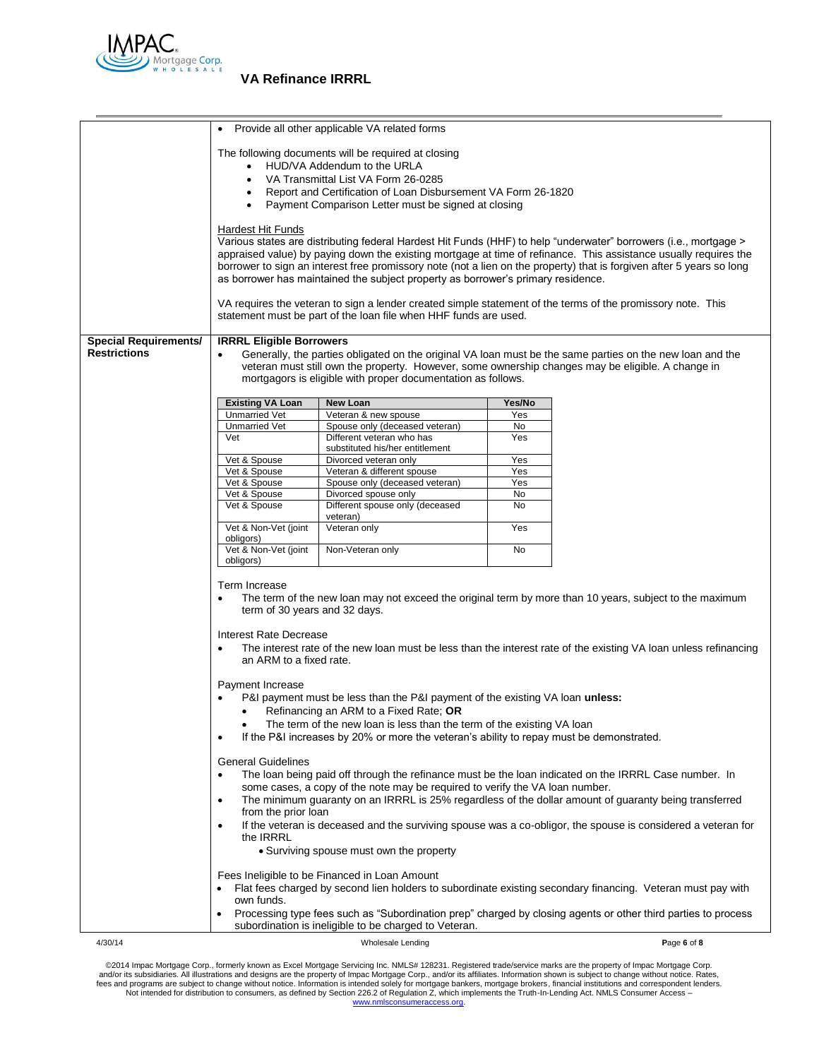

|                              | Provide all other applicable VA related forms                                                                                                                                                                                                                                                               |                                                                                  |            |                                                                                                                       |
|------------------------------|-------------------------------------------------------------------------------------------------------------------------------------------------------------------------------------------------------------------------------------------------------------------------------------------------------------|----------------------------------------------------------------------------------|------------|-----------------------------------------------------------------------------------------------------------------------|
|                              | The following documents will be required at closing                                                                                                                                                                                                                                                         |                                                                                  |            |                                                                                                                       |
|                              | HUD/VA Addendum to the URLA                                                                                                                                                                                                                                                                                 |                                                                                  |            |                                                                                                                       |
|                              | VA Transmittal List VA Form 26-0285<br>$\bullet$                                                                                                                                                                                                                                                            |                                                                                  |            |                                                                                                                       |
|                              |                                                                                                                                                                                                                                                                                                             | Report and Certification of Loan Disbursement VA Form 26-1820                    |            |                                                                                                                       |
|                              |                                                                                                                                                                                                                                                                                                             | Payment Comparison Letter must be signed at closing                              |            |                                                                                                                       |
|                              |                                                                                                                                                                                                                                                                                                             |                                                                                  |            |                                                                                                                       |
|                              | Hardest Hit Funds                                                                                                                                                                                                                                                                                           |                                                                                  |            |                                                                                                                       |
|                              |                                                                                                                                                                                                                                                                                                             |                                                                                  |            | Various states are distributing federal Hardest Hit Funds (HHF) to help "underwater" borrowers (i.e., mortgage >      |
|                              |                                                                                                                                                                                                                                                                                                             |                                                                                  |            | appraised value) by paying down the existing mortgage at time of refinance. This assistance usually requires the      |
|                              |                                                                                                                                                                                                                                                                                                             |                                                                                  |            | borrower to sign an interest free promissory note (not a lien on the property) that is forgiven after 5 years so long |
|                              |                                                                                                                                                                                                                                                                                                             | as borrower has maintained the subject property as borrower's primary residence. |            |                                                                                                                       |
|                              |                                                                                                                                                                                                                                                                                                             |                                                                                  |            | VA requires the veteran to sign a lender created simple statement of the terms of the promissory note. This           |
|                              |                                                                                                                                                                                                                                                                                                             | statement must be part of the loan file when HHF funds are used.                 |            |                                                                                                                       |
|                              |                                                                                                                                                                                                                                                                                                             |                                                                                  |            |                                                                                                                       |
| <b>Special Requirements/</b> | <b>IRRRL Eligible Borrowers</b>                                                                                                                                                                                                                                                                             |                                                                                  |            |                                                                                                                       |
| <b>Restrictions</b>          |                                                                                                                                                                                                                                                                                                             |                                                                                  |            | Generally, the parties obligated on the original VA loan must be the same parties on the new loan and the             |
|                              |                                                                                                                                                                                                                                                                                                             |                                                                                  |            | veteran must still own the property. However, some ownership changes may be eligible. A change in                     |
|                              |                                                                                                                                                                                                                                                                                                             | mortgagors is eligible with proper documentation as follows.                     |            |                                                                                                                       |
|                              | <b>Existing VA Loan</b>                                                                                                                                                                                                                                                                                     | <b>New Loan</b>                                                                  | Yes/No     |                                                                                                                       |
|                              | <b>Unmarried Vet</b>                                                                                                                                                                                                                                                                                        | Veteran & new spouse                                                             | Yes        |                                                                                                                       |
|                              | <b>Unmarried Vet</b>                                                                                                                                                                                                                                                                                        | Spouse only (deceased veteran)                                                   | No         |                                                                                                                       |
|                              | Vet                                                                                                                                                                                                                                                                                                         | Different veteran who has                                                        | Yes        |                                                                                                                       |
|                              |                                                                                                                                                                                                                                                                                                             | substituted his/her entitlement                                                  |            |                                                                                                                       |
|                              | Vet & Spouse<br>Vet & Spouse                                                                                                                                                                                                                                                                                | Divorced veteran only<br>Veteran & different spouse                              | Yes<br>Yes |                                                                                                                       |
|                              | Vet & Spouse                                                                                                                                                                                                                                                                                                | Spouse only (deceased veteran)                                                   | Yes        |                                                                                                                       |
|                              | Vet & Spouse                                                                                                                                                                                                                                                                                                | Divorced spouse only                                                             | No         |                                                                                                                       |
|                              | Vet & Spouse                                                                                                                                                                                                                                                                                                | Different spouse only (deceased<br>veteran)                                      | No         |                                                                                                                       |
|                              | Vet & Non-Vet (joint<br>obligors)                                                                                                                                                                                                                                                                           | Veteran only                                                                     | Yes        |                                                                                                                       |
|                              | Vet & Non-Vet (joint                                                                                                                                                                                                                                                                                        | Non-Veteran only                                                                 | No         |                                                                                                                       |
|                              | obligors)                                                                                                                                                                                                                                                                                                   |                                                                                  |            |                                                                                                                       |
|                              |                                                                                                                                                                                                                                                                                                             |                                                                                  |            |                                                                                                                       |
|                              | Term Increase<br>The term of the new loan may not exceed the original term by more than 10 years, subject to the maximum<br>$\bullet$                                                                                                                                                                       |                                                                                  |            |                                                                                                                       |
|                              | term of 30 years and 32 days.                                                                                                                                                                                                                                                                               |                                                                                  |            |                                                                                                                       |
|                              | Interest Rate Decrease                                                                                                                                                                                                                                                                                      |                                                                                  |            |                                                                                                                       |
|                              | $\bullet$                                                                                                                                                                                                                                                                                                   |                                                                                  |            | The interest rate of the new loan must be less than the interest rate of the existing VA loan unless refinancing      |
|                              | an ARM to a fixed rate.                                                                                                                                                                                                                                                                                     |                                                                                  |            |                                                                                                                       |
|                              |                                                                                                                                                                                                                                                                                                             |                                                                                  |            |                                                                                                                       |
|                              | Payment Increase                                                                                                                                                                                                                                                                                            |                                                                                  |            |                                                                                                                       |
|                              |                                                                                                                                                                                                                                                                                                             | P&I payment must be less than the P&I payment of the existing VA loan unless:    |            |                                                                                                                       |
|                              | $\bullet$                                                                                                                                                                                                                                                                                                   | Refinancing an ARM to a Fixed Rate; OR                                           |            |                                                                                                                       |
|                              |                                                                                                                                                                                                                                                                                                             | The term of the new loan is less than the term of the existing VA loan           |            |                                                                                                                       |
|                              | If the P&I increases by 20% or more the veteran's ability to repay must be demonstrated.<br>$\bullet$                                                                                                                                                                                                       |                                                                                  |            |                                                                                                                       |
|                              | <b>General Guidelines</b>                                                                                                                                                                                                                                                                                   |                                                                                  |            |                                                                                                                       |
|                              | $\bullet$                                                                                                                                                                                                                                                                                                   |                                                                                  |            |                                                                                                                       |
|                              | The loan being paid off through the refinance must be the loan indicated on the IRRRL Case number. In<br>some cases, a copy of the note may be required to verify the VA loan number.<br>The minimum guaranty on an IRRRL is 25% regardless of the dollar amount of guaranty being transferred<br>$\bullet$ |                                                                                  |            |                                                                                                                       |
|                              |                                                                                                                                                                                                                                                                                                             |                                                                                  |            |                                                                                                                       |
|                              | from the prior loan                                                                                                                                                                                                                                                                                         |                                                                                  |            |                                                                                                                       |
|                              | If the veteran is deceased and the surviving spouse was a co-obligor, the spouse is considered a veteran for<br>$\bullet$                                                                                                                                                                                   |                                                                                  |            |                                                                                                                       |
|                              | the <b>IRRRL</b>                                                                                                                                                                                                                                                                                            |                                                                                  |            |                                                                                                                       |
|                              | • Surviving spouse must own the property                                                                                                                                                                                                                                                                    |                                                                                  |            |                                                                                                                       |
|                              |                                                                                                                                                                                                                                                                                                             |                                                                                  |            |                                                                                                                       |
|                              |                                                                                                                                                                                                                                                                                                             | Fees Ineligible to be Financed in Loan Amount                                    |            |                                                                                                                       |
|                              | Flat fees charged by second lien holders to subordinate existing secondary financing. Veteran must pay with<br>own funds.                                                                                                                                                                                   |                                                                                  |            |                                                                                                                       |
|                              | Processing type fees such as "Subordination prep" charged by closing agents or other third parties to process                                                                                                                                                                                               |                                                                                  |            |                                                                                                                       |
|                              | subordination is ineligible to be charged to Veteran.                                                                                                                                                                                                                                                       |                                                                                  |            |                                                                                                                       |
| 4/30/14                      |                                                                                                                                                                                                                                                                                                             | Wholesale Lending                                                                |            | Page 6 of 8                                                                                                           |
|                              |                                                                                                                                                                                                                                                                                                             |                                                                                  |            |                                                                                                                       |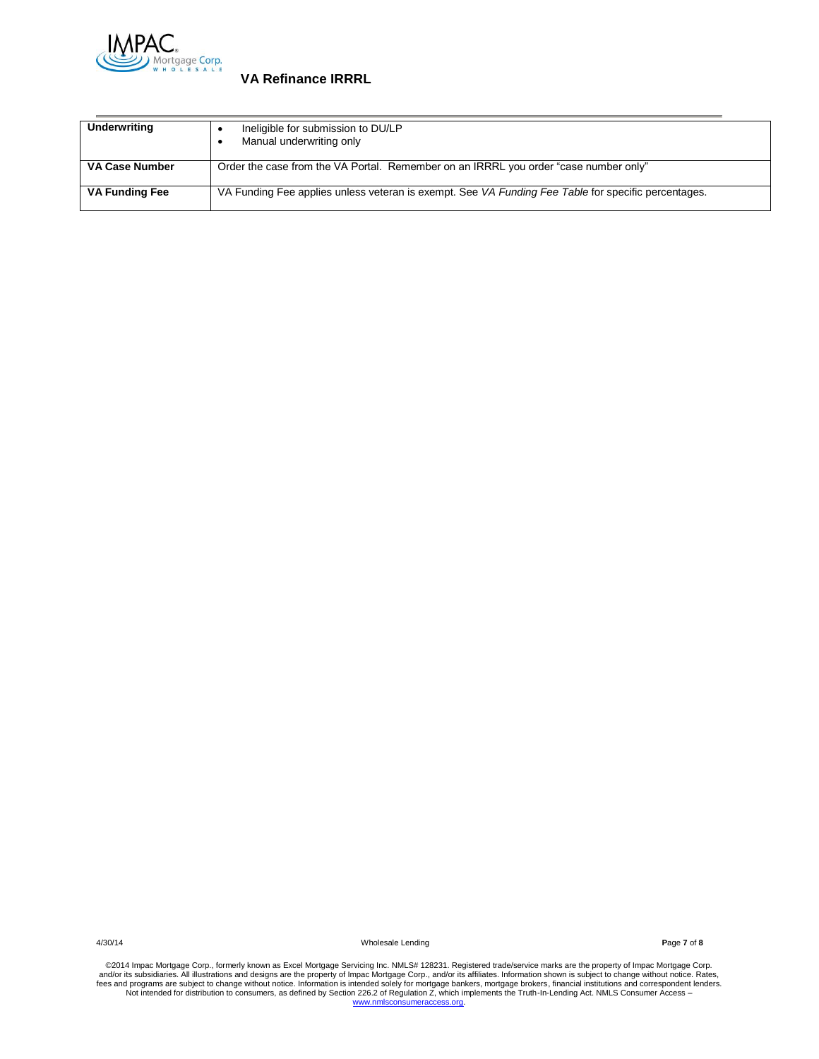

| Underwriting          | Ineligible for submission to DU/LP<br>Manual underwriting only                                      |
|-----------------------|-----------------------------------------------------------------------------------------------------|
| VA Case Number        | Order the case from the VA Portal. Remember on an IRRRL you order "case number only"                |
| <b>VA Funding Fee</b> | VA Funding Fee applies unless veteran is exempt. See VA Funding Fee Table for specific percentages. |

4/30/14 Wholesale Lending **P**age **7** of **8**